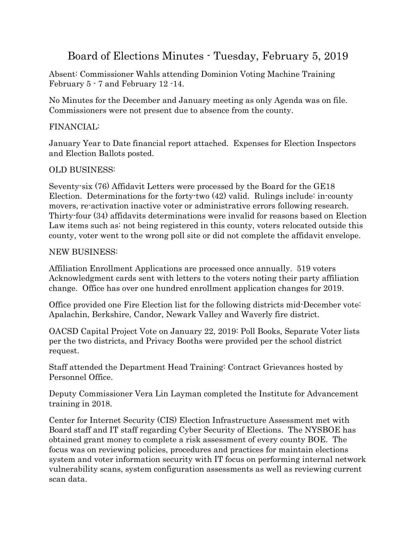# Board of Elections Minutes - Tuesday, February 5, 2019

Absent: Commissioner Wahls attending Dominion Voting Machine Training February 5 - 7 and February 12 -14.

No Minutes for the December and January meeting as only Agenda was on file. Commissioners were not present due to absence from the county.

### FINANCIAL:

January Year to Date financial report attached. Expenses for Election Inspectors and Election Ballots posted.

## OLD BUSINESS:

Seventy-six (76) Affidavit Letters were processed by the Board for the GE18 Election. Determinations for the forty-two  $(42)$  valid. Rulings include: in-county movers, re-activation inactive voter or administrative errors following research. Thirty-four (34) affidavits determinations were invalid for reasons based on Election Law items such as: not being registered in this county, voters relocated outside this county, voter went to the wrong poll site or did not complete the affidavit envelope.

#### NEW BUSINESS:

Affiliation Enrollment Applications are processed once annually. 519 voters Acknowledgment cards sent with letters to the voters noting their party affiliation change. Office has over one hundred enrollment application changes for 2019.

Office provided one Fire Election list for the following districts mid-December vote: Apalachin, Berkshire, Candor, Newark Valley and Waverly fire district.

OACSD Capital Project Vote on January 22, 2019: Poll Books, Separate Voter lists per the two districts, and Privacy Booths were provided per the school district request.

Staff attended the Department Head Training: Contract Grievances hosted by Personnel Office.

Deputy Commissioner Vera Lin Layman completed the Institute for Advancement training in 2018.

Center for Internet Security (CIS) Election Infrastructure Assessment met with Board staff and IT staff regarding Cyber Security of Elections. The NYSBOE has obtained grant money to complete a risk assessment of every county BOE. The focus was on reviewing policies, procedures and practices for maintain elections system and voter information security with IT focus on performing internal network vulnerability scans, system configuration assessments as well as reviewing current scan data.